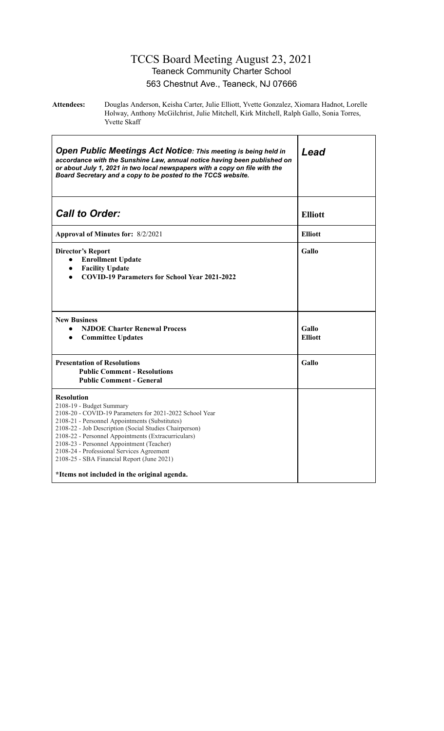#### TCCS Board Meeting August 23, 2021 Teaneck Community Charter School 563 Chestnut Ave., Teaneck, NJ 07666

**Attendees:** Douglas Anderson, Keisha Carter, Julie Elliott, Yvette Gonzalez, Xiomara Hadnot, Lorelle Holway, Anthony McGilchrist, Julie Mitchell, Kirk Mitchell, Ralph Gallo, Sonia Torres, Yvette Skaff

| <b>Open Public Meetings Act Notice: This meeting is being held in</b><br>accordance with the Sunshine Law, annual notice having been published on<br>or about July 1, 2021 in two local newspapers with a copy on file with the<br>Board Secretary and a copy to be posted to the TCCS website.                                                                                                                                                                    | Lead                    |  |  |
|--------------------------------------------------------------------------------------------------------------------------------------------------------------------------------------------------------------------------------------------------------------------------------------------------------------------------------------------------------------------------------------------------------------------------------------------------------------------|-------------------------|--|--|
| <b>Call to Order:</b>                                                                                                                                                                                                                                                                                                                                                                                                                                              | <b>Elliott</b>          |  |  |
| Approval of Minutes for: 8/2/2021                                                                                                                                                                                                                                                                                                                                                                                                                                  | <b>Elliott</b>          |  |  |
| <b>Director's Report</b><br><b>Enrollment Update</b><br>$\bullet$<br><b>Facility Update</b><br>$\bullet$<br><b>COVID-19 Parameters for School Year 2021-2022</b>                                                                                                                                                                                                                                                                                                   | Gallo                   |  |  |
| <b>New Business</b><br><b>NJDOE Charter Renewal Process</b><br>$\bullet$<br><b>Committee Updates</b><br>$\bullet$                                                                                                                                                                                                                                                                                                                                                  | Gallo<br><b>Elliott</b> |  |  |
| <b>Presentation of Resolutions</b><br><b>Public Comment - Resolutions</b><br><b>Public Comment - General</b>                                                                                                                                                                                                                                                                                                                                                       | <b>Gallo</b>            |  |  |
| <b>Resolution</b><br>2108-19 - Budget Summary<br>2108-20 - COVID-19 Parameters for 2021-2022 School Year<br>2108-21 - Personnel Appointments (Substitutes)<br>2108-22 - Job Description (Social Studies Chairperson)<br>2108-22 - Personnel Appointments (Extracurriculars)<br>2108-23 - Personnel Appointment (Teacher)<br>2108-24 - Professional Services Agreement<br>2108-25 - SBA Financial Report (June 2021)<br>*Items not included in the original agenda. |                         |  |  |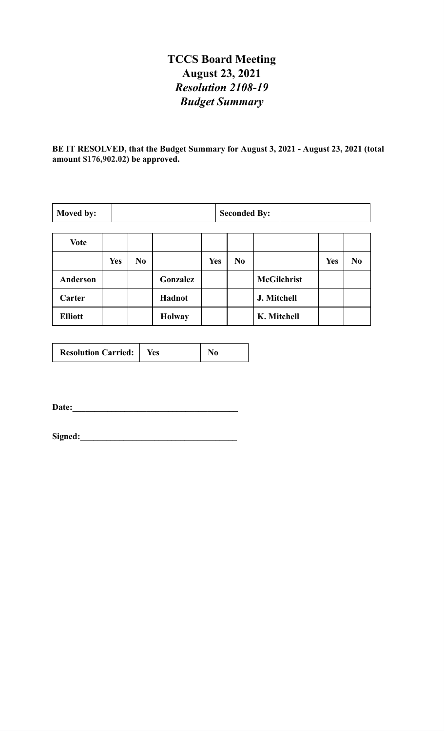## **TCCS Board Meeting August 23, 2021** *Resolution 2108-19 Budget Summary*

**BE IT RESOLVED, that the Budget Summary for August 3, 2021 - August 23, 2021 (total amount \$176,902.02) be approved.**

| Moved by:       |            | <b>Seconded By:</b> |               |            |                |                    |            |                |
|-----------------|------------|---------------------|---------------|------------|----------------|--------------------|------------|----------------|
|                 |            |                     |               |            |                |                    |            |                |
| <b>Vote</b>     |            |                     |               |            |                |                    |            |                |
|                 | <b>Yes</b> | N <sub>0</sub>      |               | <b>Yes</b> | N <sub>0</sub> |                    | <b>Yes</b> | N <sub>0</sub> |
| <b>Anderson</b> |            |                     | Gonzalez      |            |                | <b>McGilchrist</b> |            |                |
| Carter          |            |                     | Hadnot        |            |                | J. Mitchell        |            |                |
| <b>Elliott</b>  |            |                     | <b>Holway</b> |            |                | K. Mitchell        |            |                |

| <b>Resolution Carried:</b> | Yes |  |
|----------------------------|-----|--|
|----------------------------|-----|--|

**Date:\_\_\_\_\_\_\_\_\_\_\_\_\_\_\_\_\_\_\_\_\_\_\_\_\_\_\_\_\_\_\_\_\_\_\_\_\_\_**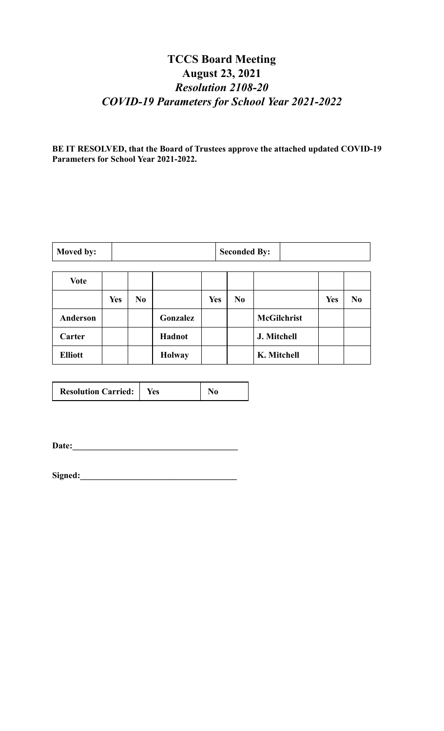### **TCCS Board Meeting August 23, 2021** *Resolution 2108-20 COVID-19 Parameters for School Year 2021-2022*

**BE IT RESOLVED, that the Board of Trustees approve the attached updated COVID-19 Parameters for School Year 2021-2022.**

| Moved by: | <b>Seconded By:</b> |  |
|-----------|---------------------|--|
|-----------|---------------------|--|

| <b>Vote</b>     |            |                |               |            |                |                    |            |                |
|-----------------|------------|----------------|---------------|------------|----------------|--------------------|------------|----------------|
|                 | <b>Yes</b> | N <sub>0</sub> |               | <b>Yes</b> | N <sub>0</sub> |                    | <b>Yes</b> | N <sub>0</sub> |
| <b>Anderson</b> |            |                | Gonzalez      |            |                | <b>McGilchrist</b> |            |                |
| Carter          |            |                | Hadnot        |            |                | J. Mitchell        |            |                |
| <b>Elliott</b>  |            |                | <b>Holway</b> |            |                | K. Mitchell        |            |                |

| <b>Resolution Carried:</b> | Yes |  |
|----------------------------|-----|--|
|                            |     |  |

**Date:\_\_\_\_\_\_\_\_\_\_\_\_\_\_\_\_\_\_\_\_\_\_\_\_\_\_\_\_\_\_\_\_\_\_\_\_\_\_**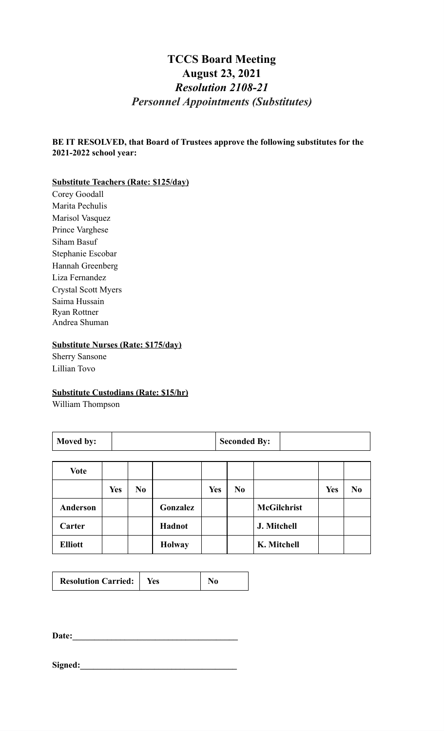### **TCCS Board Meeting August 23, 2021** *Resolution 2108-21 Personnel Appointments (Substitutes)*

**BE IT RESOLVED, that Board of Trustees approve the following substitutes for the 2021-2022 school year:**

#### **Substitute Teachers (Rate: \$125/day)**

Corey Goodall Marita Pechulis Marisol Vasquez Prince Varghese Siham Basuf Stephanie Escobar Hannah Greenberg Liza Fernandez Crystal Scott Myers Saima Hussain Ryan Rottner Andrea Shuman

#### **Substitute Nurses (Rate: \$175/day)**

Sherry Sansone Lillian Tovo

#### **Substitute Custodians (Rate: \$15/hr)**

William Thompson

| Moved by:       |            |                |               |            | <b>Seconded By:</b> |                    |            |                |  |
|-----------------|------------|----------------|---------------|------------|---------------------|--------------------|------------|----------------|--|
| <b>Vote</b>     |            |                |               |            |                     |                    |            |                |  |
|                 | <b>Yes</b> | N <sub>0</sub> |               | <b>Yes</b> | N <sub>0</sub>      |                    | <b>Yes</b> | N <sub>0</sub> |  |
| <b>Anderson</b> |            |                | Gonzalez      |            |                     | <b>McGilchrist</b> |            |                |  |
| Carter          |            |                | Hadnot        |            |                     | J. Mitchell        |            |                |  |
| <b>Elliott</b>  |            |                | <b>Holway</b> |            |                     | K. Mitchell        |            |                |  |

| <b>Resolution Carried:</b> | Yes |  |
|----------------------------|-----|--|
|----------------------------|-----|--|

**Date:\_\_\_\_\_\_\_\_\_\_\_\_\_\_\_\_\_\_\_\_\_\_\_\_\_\_\_\_\_\_\_\_\_\_\_\_\_\_**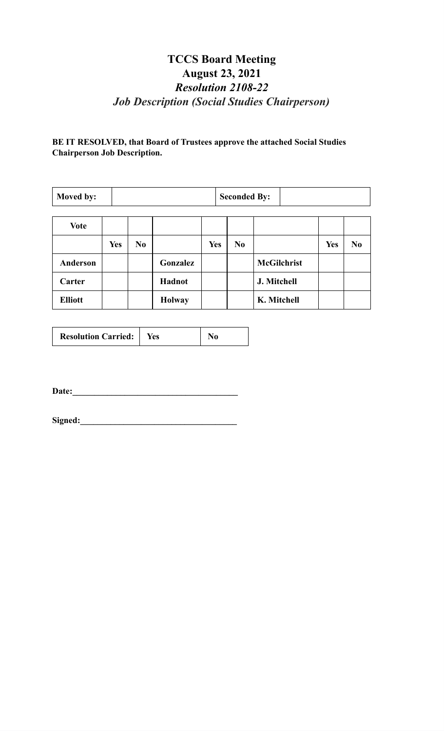# **TCCS Board Meeting August 23, 2021** *Resolution 2108-22 Job Description (Social Studies Chairperson)*

#### **BE IT RESOLVED, that Board of Trustees approve the attached Social Studies Chairperson Job Description.**

| Moved by:      | <b>Seconded By:</b> |                |               |            |  |                |                    |            |                |
|----------------|---------------------|----------------|---------------|------------|--|----------------|--------------------|------------|----------------|
| <b>Vote</b>    |                     |                |               |            |  |                |                    |            |                |
|                |                     |                |               |            |  |                |                    |            |                |
|                | <b>Yes</b>          | N <sub>0</sub> |               | <b>Yes</b> |  | N <sub>0</sub> |                    | <b>Yes</b> | N <sub>0</sub> |
| Anderson       |                     |                | Gonzalez      |            |  |                | <b>McGilchrist</b> |            |                |
| Carter         |                     |                | Hadnot        |            |  |                | J. Mitchell        |            |                |
| <b>Elliott</b> |                     |                | <b>Holway</b> |            |  |                | K. Mitchell        |            |                |

| <b>Resolution Carried:</b><br>Yes |  |
|-----------------------------------|--|
|-----------------------------------|--|

**Date:\_\_\_\_\_\_\_\_\_\_\_\_\_\_\_\_\_\_\_\_\_\_\_\_\_\_\_\_\_\_\_\_\_\_\_\_\_\_**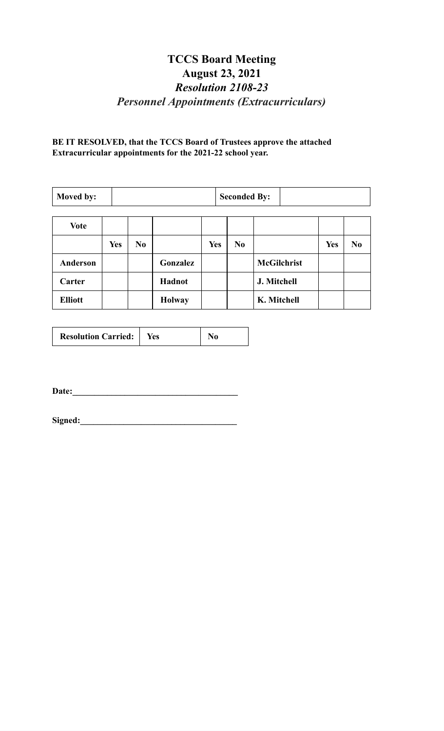## **TCCS Board Meeting August 23, 2021** *Resolution 2108-23 Personnel Appointments (Extracurriculars)*

**BE IT RESOLVED, that the TCCS Board of Trustees approve the attached Extracurricular appointments for the 2021-22 school year.**

| <b>Seconded By:</b><br>Moved by: |            |                |               |            |  |    |                    |            |                |
|----------------------------------|------------|----------------|---------------|------------|--|----|--------------------|------------|----------------|
| <b>Vote</b>                      |            |                |               |            |  |    |                    |            |                |
|                                  | <b>Yes</b> | N <sub>0</sub> |               | <b>Yes</b> |  | No |                    | <b>Yes</b> | N <sub>0</sub> |
| Anderson                         |            |                | Gonzalez      |            |  |    | <b>McGilchrist</b> |            |                |
| Carter                           |            |                | Hadnot        |            |  |    | J. Mitchell        |            |                |
| <b>Elliott</b>                   |            |                | <b>Holway</b> |            |  |    | K. Mitchell        |            |                |

| <b>Resolution Carried:</b><br>Yes |  |
|-----------------------------------|--|
|-----------------------------------|--|

**Date:\_\_\_\_\_\_\_\_\_\_\_\_\_\_\_\_\_\_\_\_\_\_\_\_\_\_\_\_\_\_\_\_\_\_\_\_\_\_**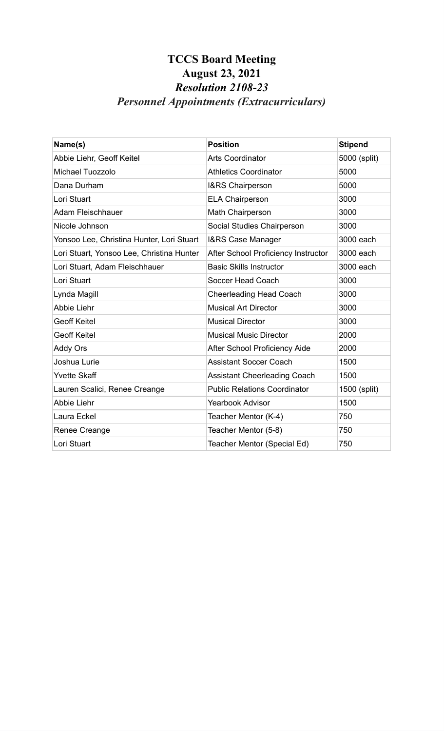# **TCCS Board Meeting August 23, 2021** *Resolution 2108-23 Personnel Appointments (Extracurriculars)*

| Name(s)                                   | <b>Position</b>                     | <b>Stipend</b> |
|-------------------------------------------|-------------------------------------|----------------|
| Abbie Liehr, Geoff Keitel                 | <b>Arts Coordinator</b>             | 5000 (split)   |
| Michael Tuozzolo                          | <b>Athletics Coordinator</b>        | 5000           |
| Dana Durham                               | I&RS Chairperson                    | 5000           |
| Lori Stuart                               | <b>ELA Chairperson</b>              | 3000           |
| <b>Adam Fleischhauer</b>                  | Math Chairperson                    | 3000           |
| Nicole Johnson                            | Social Studies Chairperson          | 3000           |
| Yonsoo Lee, Christina Hunter, Lori Stuart | <b>I&amp;RS Case Manager</b>        | 3000 each      |
| Lori Stuart, Yonsoo Lee, Christina Hunter | After School Proficiency Instructor | 3000 each      |
| Lori Stuart, Adam Fleischhauer            | <b>Basic Skills Instructor</b>      | 3000 each      |
| Lori Stuart                               | Soccer Head Coach                   | 3000           |
| Lynda Magill                              | <b>Cheerleading Head Coach</b>      | 3000           |
| <b>Abbie Liehr</b>                        | <b>Musical Art Director</b>         | 3000           |
| <b>Geoff Keitel</b>                       | <b>Musical Director</b>             | 3000           |
| <b>Geoff Keitel</b>                       | <b>Musical Music Director</b>       | 2000           |
| <b>Addy Ors</b>                           | After School Proficiency Aide       | 2000           |
| Joshua Lurie                              | <b>Assistant Soccer Coach</b>       | 1500           |
| <b>Yvette Skaff</b>                       | <b>Assistant Cheerleading Coach</b> | 1500           |
| Lauren Scalici, Renee Creange             | <b>Public Relations Coordinator</b> | 1500 (split)   |
| Abbie Liehr                               | <b>Yearbook Advisor</b>             | 1500           |
| Laura Eckel                               | Teacher Mentor (K-4)                | 750            |
| Renee Creange                             | Teacher Mentor (5-8)                | 750            |
| Lori Stuart                               | Teacher Mentor (Special Ed)         | 750            |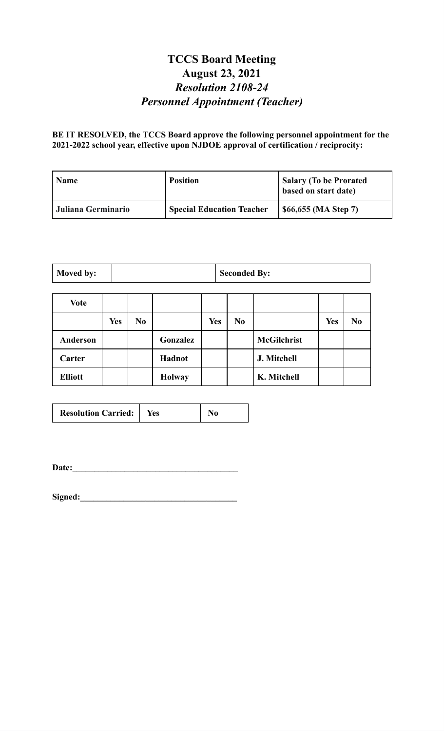### **TCCS Board Meeting August 23, 2021** *Resolution 2108-24 Personnel Appointment (Teacher)*

**BE IT RESOLVED, the TCCS Board approve the following personnel appointment for the 2021-2022 school year, effective upon NJDOE approval of certification / reciprocity:**

| <b>Name</b>        | <b>Position</b>                  | Salary (To be Prorated<br>based on start date) |
|--------------------|----------------------------------|------------------------------------------------|
| Juliana Germinario | <b>Special Education Teacher</b> | \$66,655 (MA Step 7)                           |

| Moved by: | <b>Seconded By:</b> |  |
|-----------|---------------------|--|
|-----------|---------------------|--|

| <b>Vote</b>    |            |                |               |            |                |                    |            |                |
|----------------|------------|----------------|---------------|------------|----------------|--------------------|------------|----------------|
|                | <b>Yes</b> | N <sub>0</sub> |               | <b>Yes</b> | N <sub>0</sub> |                    | <b>Yes</b> | N <sub>0</sub> |
| Anderson       |            |                | Gonzalez      |            |                | <b>McGilchrist</b> |            |                |
| Carter         |            |                | Hadnot        |            |                | J. Mitchell        |            |                |
| <b>Elliott</b> |            |                | <b>Holway</b> |            |                | K. Mitchell        |            |                |

**Date:\_\_\_\_\_\_\_\_\_\_\_\_\_\_\_\_\_\_\_\_\_\_\_\_\_\_\_\_\_\_\_\_\_\_\_\_\_\_**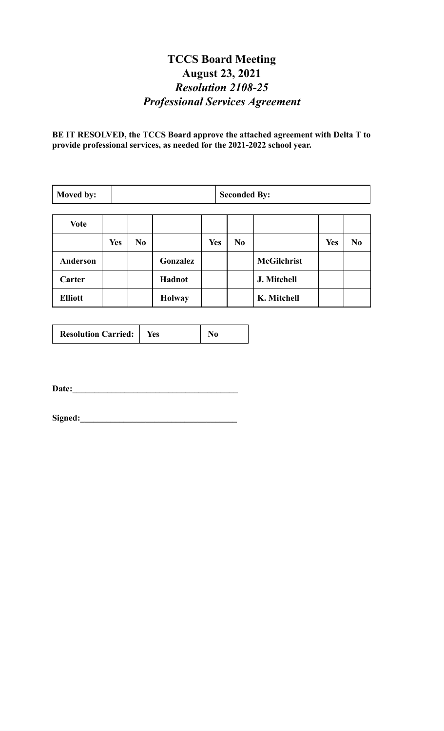## **TCCS Board Meeting August 23, 2021** *Resolution 2108-25 Professional Services Agreement*

**BE IT RESOLVED, the TCCS Board approve the attached agreement with Delta T to provide professional services, as needed for the 2021-2022 school year.**

| Moved by:       |            | <b>Seconded By:</b> |               |            |                |                    |            |                |
|-----------------|------------|---------------------|---------------|------------|----------------|--------------------|------------|----------------|
|                 |            |                     |               |            |                |                    |            |                |
| <b>Vote</b>     |            |                     |               |            |                |                    |            |                |
|                 | <b>Yes</b> | N <sub>0</sub>      |               | <b>Yes</b> | N <sub>0</sub> |                    | <b>Yes</b> | N <sub>0</sub> |
| <b>Anderson</b> |            |                     | Gonzalez      |            |                | <b>McGilchrist</b> |            |                |
| Carter          |            |                     | Hadnot        |            |                | J. Mitchell        |            |                |
| <b>Elliott</b>  |            |                     | <b>Holway</b> |            |                | K. Mitchell        |            |                |

| <b>Resolution Carried:</b><br>Yes |
|-----------------------------------|
|-----------------------------------|

**Date:\_\_\_\_\_\_\_\_\_\_\_\_\_\_\_\_\_\_\_\_\_\_\_\_\_\_\_\_\_\_\_\_\_\_\_\_\_\_**